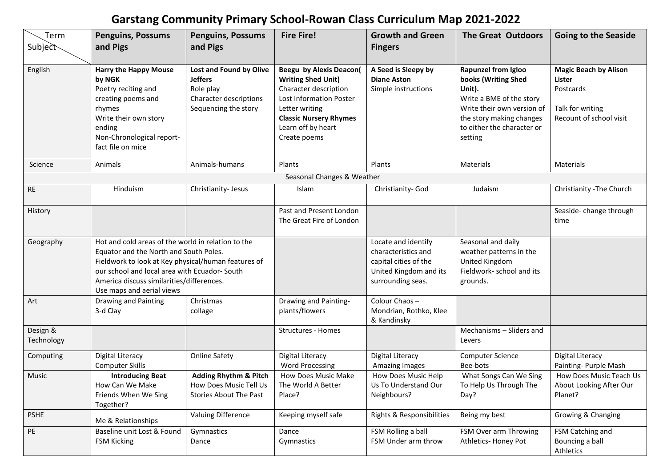## **Garstang Community Primary School-Rowan Class Curriculum Map 2021-2022**

| Term                       | <b>Penguins, Possums</b>                                                                                                                                                                                                                                                      | <b>Penguins, Possums</b>                                                                                 | <b>Fire Fire!</b>                                                                                                                                                                                        | <b>Growth and Green</b>                                                                                            | <b>The Great Outdoors</b>                                                                                                                                                           | <b>Going to the Seaside</b>                                                                        |  |  |  |
|----------------------------|-------------------------------------------------------------------------------------------------------------------------------------------------------------------------------------------------------------------------------------------------------------------------------|----------------------------------------------------------------------------------------------------------|----------------------------------------------------------------------------------------------------------------------------------------------------------------------------------------------------------|--------------------------------------------------------------------------------------------------------------------|-------------------------------------------------------------------------------------------------------------------------------------------------------------------------------------|----------------------------------------------------------------------------------------------------|--|--|--|
| Subject                    | and Pigs                                                                                                                                                                                                                                                                      | and Pigs                                                                                                 |                                                                                                                                                                                                          | <b>Fingers</b>                                                                                                     |                                                                                                                                                                                     |                                                                                                    |  |  |  |
| English                    | <b>Harry the Happy Mouse</b><br>by NGK<br>Poetry reciting and<br>creating poems and<br>rhymes<br>Write their own story<br>ending<br>Non-Chronological report-<br>fact file on mice                                                                                            | Lost and Found by Olive<br><b>Jeffers</b><br>Role play<br>Character descriptions<br>Sequencing the story | <b>Beegu by Alexis Deacon(</b><br><b>Writing Shed Unit)</b><br>Character description<br>Lost Information Poster<br>Letter writing<br><b>Classic Nursery Rhymes</b><br>Learn off by heart<br>Create poems | A Seed is Sleepy by<br><b>Diane Aston</b><br>Simple instructions                                                   | Rapunzel from Igloo<br>books (Writing Shed<br>Unit).<br>Write a BME of the story<br>Write their own version of<br>the story making changes<br>to either the character or<br>setting | <b>Magic Beach by Alison</b><br>Lister<br>Postcards<br>Talk for writing<br>Recount of school visit |  |  |  |
| Science                    | Animals                                                                                                                                                                                                                                                                       | Animals-humans                                                                                           | Plants                                                                                                                                                                                                   | Plants                                                                                                             | Materials                                                                                                                                                                           | Materials                                                                                          |  |  |  |
| Seasonal Changes & Weather |                                                                                                                                                                                                                                                                               |                                                                                                          |                                                                                                                                                                                                          |                                                                                                                    |                                                                                                                                                                                     |                                                                                                    |  |  |  |
| <b>RE</b>                  | Hinduism                                                                                                                                                                                                                                                                      | Christianity- Jesus                                                                                      | Islam                                                                                                                                                                                                    | Christianity- God                                                                                                  | Judaism                                                                                                                                                                             | Christianity - The Church                                                                          |  |  |  |
| History                    |                                                                                                                                                                                                                                                                               |                                                                                                          | Past and Present London<br>The Great Fire of London                                                                                                                                                      |                                                                                                                    |                                                                                                                                                                                     | Seaside-change through<br>time                                                                     |  |  |  |
| Geography                  | Hot and cold areas of the world in relation to the<br>Equator and the North and South Poles.<br>Fieldwork to look at Key physical/human features of<br>our school and local area with Ecuador-South<br>America discuss similarities/differences.<br>Use maps and aerial views |                                                                                                          |                                                                                                                                                                                                          | Locate and identify<br>characteristics and<br>capital cities of the<br>United Kingdom and its<br>surrounding seas. | Seasonal and daily<br>weather patterns in the<br>United Kingdom<br>Fieldwork- school and its<br>grounds.                                                                            |                                                                                                    |  |  |  |
| Art                        | Drawing and Painting<br>3-d Clay                                                                                                                                                                                                                                              | Christmas<br>collage                                                                                     | Drawing and Painting-<br>plants/flowers                                                                                                                                                                  | Colour Chaos-<br>Mondrian, Rothko, Klee<br>& Kandinsky                                                             |                                                                                                                                                                                     |                                                                                                    |  |  |  |
| Design &<br>Technology     |                                                                                                                                                                                                                                                                               |                                                                                                          | Structures - Homes                                                                                                                                                                                       |                                                                                                                    | Mechanisms - Sliders and<br>Levers                                                                                                                                                  |                                                                                                    |  |  |  |
| Computing                  | <b>Digital Literacy</b><br><b>Computer Skills</b>                                                                                                                                                                                                                             | <b>Online Safety</b>                                                                                     | <b>Digital Literacy</b><br><b>Word Processing</b>                                                                                                                                                        | Digital Literacy<br>Amazing Images                                                                                 | <b>Computer Science</b><br>Bee-bots                                                                                                                                                 | Digital Literacy<br>Painting- Purple Mash                                                          |  |  |  |
| Music                      | <b>Introducing Beat</b><br>How Can We Make<br>Friends When We Sing<br>Together?                                                                                                                                                                                               | <b>Adding Rhythm &amp; Pitch</b><br>How Does Music Tell Us<br><b>Stories About The Past</b>              | How Does Music Make<br>The World A Better<br>Place?                                                                                                                                                      | How Does Music Help<br>Us To Understand Our<br>Neighbours?                                                         | What Songs Can We Sing<br>To Help Us Through The<br>Day?                                                                                                                            | How Does Music Teach Us<br>About Looking After Our<br>Planet?                                      |  |  |  |
| <b>PSHE</b>                | Me & Relationships                                                                                                                                                                                                                                                            | Valuing Difference                                                                                       | Keeping myself safe                                                                                                                                                                                      | Rights & Responsibilities                                                                                          | Being my best                                                                                                                                                                       | Growing & Changing                                                                                 |  |  |  |
| PE                         | Baseline unit Lost & Found<br><b>FSM Kicking</b>                                                                                                                                                                                                                              | Gymnastics<br>Dance                                                                                      | Dance<br>Gymnastics                                                                                                                                                                                      | FSM Rolling a ball<br>FSM Under arm throw                                                                          | FSM Over arm Throwing<br>Athletics- Honey Pot                                                                                                                                       | FSM Catching and<br>Bouncing a ball<br>Athletics                                                   |  |  |  |